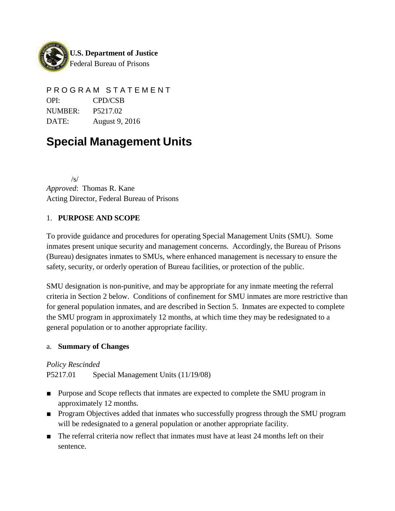

P R O G R A M S T A T E M E N T OPI: CPD/CSB NUMBER: P5217.02 DATE: August 9, 2016

# **Special Management Units**

 $\sqrt{s}$ *Approved*: Thomas R. Kane Acting Director, Federal Bureau of Prisons

## 1. **PURPOSE AND SCOPE**

To provide guidance and procedures for operating Special Management Units (SMU). Some inmates present unique security and management concerns. Accordingly, the Bureau of Prisons (Bureau) designates inmates to SMUs, where enhanced management is necessary to ensure the safety, security, or orderly operation of Bureau facilities, or protection of the public.

SMU designation is non-punitive, and may be appropriate for any inmate meeting the referral criteria in Section 2 below. Conditions of confinement for SMU inmates are more restrictive than for general population inmates, and are described in Section 5. Inmates are expected to complete the SMU program in approximately 12 months, at which time they may be redesignated to a general population or to another appropriate facility.

### a. **Summary of Changes**

*Policy Rescinded*

P5217.01 Special Management Units (11/19/08)

- Purpose and Scope reflects that inmates are expected to complete the SMU program in approximately 12 months.
- Program Objectives added that inmates who successfully progress through the SMU program will be redesignated to a general population or another appropriate facility.
- The referral criteria now reflect that inmates must have at least 24 months left on their sentence.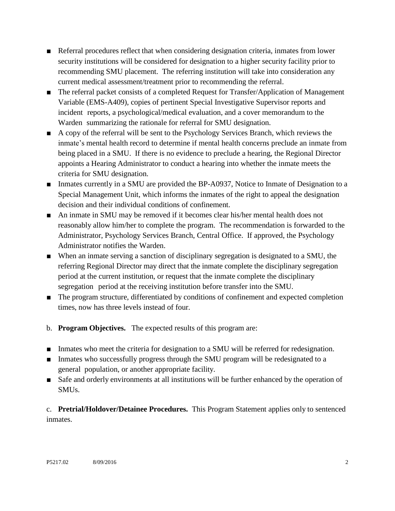- Referral procedures reflect that when considering designation criteria, inmates from lower security institutions will be considered for designation to a higher security facility prior to recommending SMU placement. The referring institution will take into consideration any current medical assessment/treatment prior to recommending the referral.
- The referral packet consists of a completed Request for Transfer/Application of Management Variable (EMS-A409), copies of pertinent Special Investigative Supervisor reports and incident reports, a psychological/medical evaluation, and a cover memorandum to the Warden summarizing the rationale for referral for SMU designation.
- A copy of the referral will be sent to the Psychology Services Branch, which reviews the inmate's mental health record to determine if mental health concerns preclude an inmate from being placed in a SMU. If there is no evidence to preclude a hearing, the Regional Director appoints a Hearing Administrator to conduct a hearing into whether the inmate meets the criteria for SMU designation.
- Inmates currently in a SMU are provided the BP-A0937, Notice to Inmate of Designation to a Special Management Unit, which informs the inmates of the right to appeal the designation decision and their individual conditions of confinement.
- An inmate in SMU may be removed if it becomes clear his/her mental health does not reasonably allow him/her to complete the program. The recommendation is forwarded to the Administrator, Psychology Services Branch, Central Office. If approved, the Psychology Administrator notifies the Warden.
- When an inmate serving a sanction of disciplinary segregation is designated to a SMU, the referring Regional Director may direct that the inmate complete the disciplinary segregation period at the current institution, or request that the inmate complete the disciplinary segregation period at the receiving institution before transfer into the SMU.
- The program structure, differentiated by conditions of confinement and expected completion times, now has three levels instead of four.
- b. **Program Objectives.** The expected results of this program are:
- Inmates who meet the criteria for designation to a SMU will be referred for redesignation.
- Inmates who successfully progress through the SMU program will be redesignated to a general population, or another appropriate facility.
- Safe and orderly environments at all institutions will be further enhanced by the operation of SMUs.

c. **Pretrial/Holdover/Detainee Procedures.** This Program Statement applies only to sentenced inmates.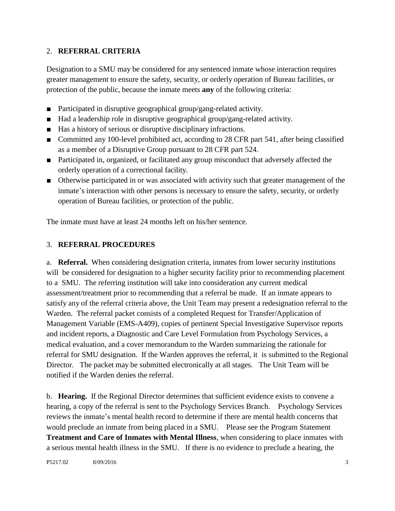### 2. **REFERRAL CRITERIA**

Designation to a SMU may be considered for any sentenced inmate whose interaction requires greater management to ensure the safety, security, or orderly operation of Bureau facilities, or protection of the public, because the inmate meets **any** of the following criteria:

- Participated in disruptive geographical group/gang-related activity.
- Had a leadership role in disruptive geographical group/gang-related activity.
- Has a history of serious or disruptive disciplinary infractions.
- Committed any 100-level prohibited act, according to 28 CFR part 541, after being classified as a member of a Disruptive Group pursuant to 28 CFR part 524.
- Participated in, organized, or facilitated any group misconduct that adversely affected the orderly operation of a correctional facility.
- Otherwise participated in or was associated with activity such that greater management of the inmate's interaction with other persons is necessary to ensure the safety, security, or orderly operation of Bureau facilities, or protection of the public.

The inmate must have at least 24 months left on his/her sentence.

## 3. **REFERRAL PROCEDURES**

a. **Referral.** When considering designation criteria, inmates from lower security institutions will be considered for designation to a higher security facility prior to recommending placement to a SMU. The referring institution will take into consideration any current medical assessment/treatment prior to recommending that a referral be made. If an inmate appears to satisfy any of the referral criteria above, the Unit Team may present a redesignation referral to the Warden. The referral packet consists of a completed Request for Transfer/Application of Management Variable (EMS-A409), copies of pertinent Special Investigative Supervisor reports and incident reports, a Diagnostic and Care Level Formulation from Psychology Services, a medical evaluation, and a cover memorandum to the Warden summarizing the rationale for referral for SMU designation. If the Warden approves the referral, it is submitted to the Regional Director. The packet may be submitted electronically at all stages. The Unit Team will be notified if the Warden denies the referral.

b. **Hearing.** If the Regional Director determines that sufficient evidence exists to convene a hearing, a copy of the referral is sent to the Psychology Services Branch. Psychology Services reviews the inmate's mental health record to determine if there are mental health concerns that would preclude an inmate from being placed in a SMU. Please see the Program Statement **Treatment and Care of Inmates with Mental Illness**, when considering to place inmates with a serious mental health illness in the SMU. If there is no evidence to preclude a hearing, the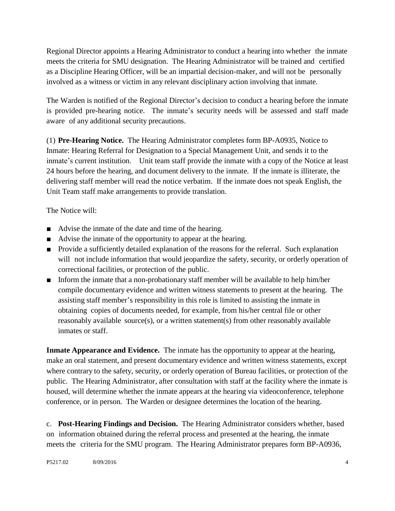Regional Director appoints a Hearing Administrator to conduct a hearing into whether the inmate meets the criteria for SMU designation. The Hearing Administrator will be trained and certified as a Discipline Hearing Officer, will be an impartial decision-maker, and will not be personally involved as a witness or victim in any relevant disciplinary action involving that inmate.

The Warden is notified of the Regional Director's decision to conduct a hearing before the inmate is provided pre-hearing notice. The inmate's security needs will be assessed and staff made aware of any additional security precautions.

(1) **Pre-Hearing Notice.** The Hearing Administrator completes form BP-A0935, Notice to Inmate: Hearing Referral for Designation to a Special Management Unit, and sends it to the inmate's current institution. Unit team staff provide the inmate with a copy of the Notice at least 24 hours before the hearing, and document delivery to the inmate. If the inmate is illiterate, the delivering staff member will read the notice verbatim. If the inmate does not speak English, the Unit Team staff make arrangements to provide translation.

The Notice will:

- Advise the inmate of the date and time of the hearing.
- Advise the inmate of the opportunity to appear at the hearing.
- Provide a sufficiently detailed explanation of the reasons for the referral. Such explanation will not include information that would jeopardize the safety, security, or orderly operation of correctional facilities, or protection of the public.
- Inform the inmate that a non-probationary staff member will be available to help him/her compile documentary evidence and written witness statements to present at the hearing. The assisting staff member's responsibility in this role is limited to assisting the inmate in obtaining copies of documents needed, for example, from his/her central file or other reasonably available source(s), or a written statement(s) from other reasonably available inmates or staff.

**Inmate Appearance and Evidence.** The inmate has the opportunity to appear at the hearing, make an oral statement, and present documentary evidence and written witness statements, except where contrary to the safety, security, or orderly operation of Bureau facilities, or protection of the public. The Hearing Administrator, after consultation with staff at the facility where the inmate is housed, will determine whether the inmate appears at the hearing via videoconference, telephone conference, or in person. The Warden or designee determines the location of the hearing.

c. **Post-Hearing Findings and Decision.** The Hearing Administrator considers whether, based on information obtained during the referral process and presented at the hearing, the inmate meets the criteria for the SMU program. The Hearing Administrator prepares form BP-A0936,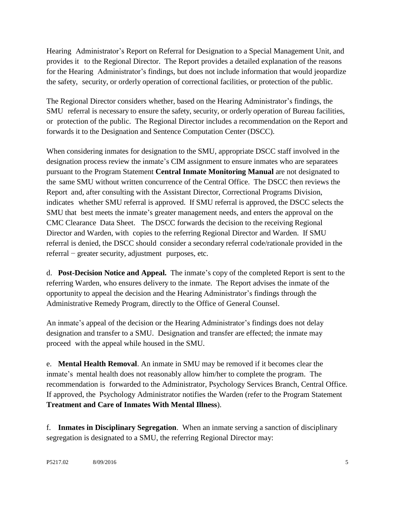Hearing Administrator's Report on Referral for Designation to a Special Management Unit, and provides it to the Regional Director. The Report provides a detailed explanation of the reasons for the Hearing Administrator's findings, but does not include information that would jeopardize the safety, security, or orderly operation of correctional facilities, or protection of the public.

The Regional Director considers whether, based on the Hearing Administrator's findings, the SMU referral is necessary to ensure the safety, security, or orderly operation of Bureau facilities, or protection of the public. The Regional Director includes a recommendation on the Report and forwards it to the Designation and Sentence Computation Center (DSCC).

When considering inmates for designation to the SMU, appropriate DSCC staff involved in the designation process review the inmate's CIM assignment to ensure inmates who are separatees pursuant to the Program Statement **Central Inmate Monitoring Manual** are not designated to the same SMU without written concurrence of the Central Office. The DSCC then reviews the Report and, after consulting with the Assistant Director, Correctional Programs Division, indicates whether SMU referral is approved. If SMU referral is approved, the DSCC selects the SMU that best meets the inmate's greater management needs, and enters the approval on the CMC Clearance Data Sheet. The DSCC forwards the decision to the receiving Regional Director and Warden, with copies to the referring Regional Director and Warden. If SMU referral is denied, the DSCC should consider a secondary referral code/rationale provided in the referral − greater security, adjustment purposes, etc.

d. **Post-Decision Notice and Appeal.** The inmate's copy of the completed Report is sent to the referring Warden, who ensures delivery to the inmate. The Report advises the inmate of the opportunity to appeal the decision and the Hearing Administrator's findings through the Administrative Remedy Program, directly to the Office of General Counsel.

An inmate's appeal of the decision or the Hearing Administrator's findings does not delay designation and transfer to a SMU. Designation and transfer are effected; the inmate may proceed with the appeal while housed in the SMU.

e. **Mental Health Removal**. An inmate in SMU may be removed if it becomes clear the inmate's mental health does not reasonably allow him/her to complete the program. The recommendation is forwarded to the Administrator, Psychology Services Branch, Central Office. If approved, the Psychology Administrator notifies the Warden (refer to the Program Statement **Treatment and Care of Inmates With Mental Illness**).

f. **Inmates in Disciplinary Segregation**. When an inmate serving a sanction of disciplinary segregation is designated to a SMU, the referring Regional Director may: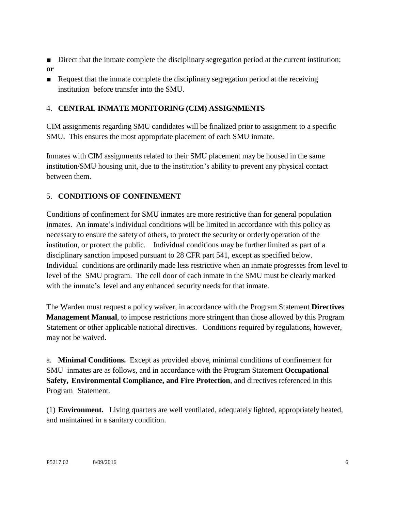- Direct that the inmate complete the disciplinary segregation period at the current institution; **or**
- Request that the inmate complete the disciplinary segregation period at the receiving institution before transfer into the SMU.

## 4. **CENTRAL INMATE MONITORING (CIM) ASSIGNMENTS**

CIM assignments regarding SMU candidates will be finalized prior to assignment to a specific SMU. This ensures the most appropriate placement of each SMU inmate.

Inmates with CIM assignments related to their SMU placement may be housed in the same institution/SMU housing unit, due to the institution's ability to prevent any physical contact between them.

## 5. **CONDITIONS OF CONFINEMENT**

Conditions of confinement for SMU inmates are more restrictive than for general population inmates. An inmate's individual conditions will be limited in accordance with this policy as necessary to ensure the safety of others, to protect the security or orderly operation of the institution, or protect the public. Individual conditions may be further limited as part of a disciplinary sanction imposed pursuant to 28 CFR part 541, except as specified below. Individual conditions are ordinarily made less restrictive when an inmate progresses from level to level of the SMU program. The cell door of each inmate in the SMU must be clearly marked with the inmate's level and any enhanced security needs for that inmate.

The Warden must request a policy waiver, in accordance with the Program Statement **Directives Management Manual**, to impose restrictions more stringent than those allowed by this Program Statement or other applicable national directives. Conditions required by regulations, however, may not be waived.

a. **Minimal Conditions.** Except as provided above, minimal conditions of confinement for SMU inmates are as follows, and in accordance with the Program Statement **Occupational Safety, Environmental Compliance, and Fire Protection**, and directives referenced in this Program Statement.

(1) **Environment.** Living quarters are well ventilated, adequately lighted, appropriately heated, and maintained in a sanitary condition.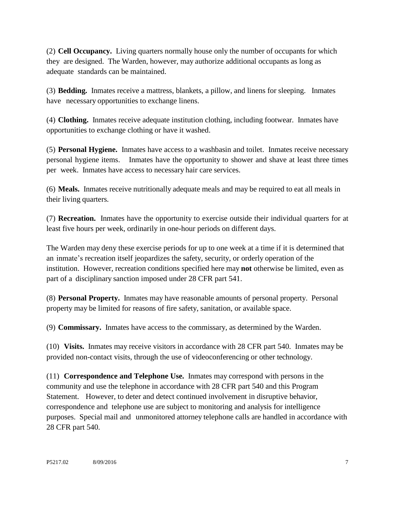(2) **Cell Occupancy.** Living quarters normally house only the number of occupants for which they are designed. The Warden, however, may authorize additional occupants as long as adequate standards can be maintained.

(3) **Bedding.** Inmates receive a mattress, blankets, a pillow, and linens for sleeping. Inmates have necessary opportunities to exchange linens.

(4) **Clothing.** Inmates receive adequate institution clothing, including footwear. Inmates have opportunities to exchange clothing or have it washed.

(5) **Personal Hygiene.** Inmates have access to a washbasin and toilet. Inmates receive necessary personal hygiene items. Inmates have the opportunity to shower and shave at least three times per week. Inmates have access to necessary hair care services.

(6) **Meals.** Inmates receive nutritionally adequate meals and may be required to eat all meals in their living quarters.

(7) **Recreation.** Inmates have the opportunity to exercise outside their individual quarters for at least five hours per week, ordinarily in one-hour periods on different days.

The Warden may deny these exercise periods for up to one week at a time if it is determined that an inmate's recreation itself jeopardizes the safety, security, or orderly operation of the institution. However, recreation conditions specified here may **not** otherwise be limited, even as part of a disciplinary sanction imposed under 28 CFR part 541.

(8) **Personal Property.** Inmates may have reasonable amounts of personal property. Personal property may be limited for reasons of fire safety, sanitation, or available space.

(9) **Commissary.** Inmates have access to the commissary, as determined by the Warden.

(10) **Visits.** Inmates may receive visitors in accordance with 28 CFR part 540. Inmates may be provided non-contact visits, through the use of videoconferencing or other technology.

(11) **Correspondence and Telephone Use.** Inmates may correspond with persons in the community and use the telephone in accordance with 28 CFR part 540 and this Program Statement. However, to deter and detect continued involvement in disruptive behavior, correspondence and telephone use are subject to monitoring and analysis for intelligence purposes. Special mail and unmonitored attorney telephone calls are handled in accordance with 28 CFR part 540.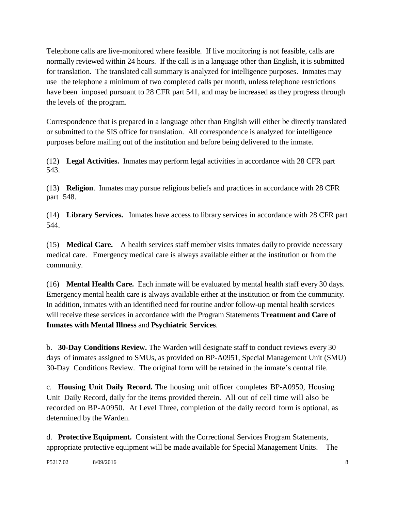Telephone calls are live-monitored where feasible. If live monitoring is not feasible, calls are normally reviewed within 24 hours. If the call is in a language other than English, it is submitted for translation. The translated call summary is analyzed for intelligence purposes. Inmates may use the telephone a minimum of two completed calls per month, unless telephone restrictions have been imposed pursuant to 28 CFR part 541, and may be increased as they progress through the levels of the program.

Correspondence that is prepared in a language other than English will either be directly translated or submitted to the SIS office for translation. All correspondence is analyzed for intelligence purposes before mailing out of the institution and before being delivered to the inmate.

(12) **Legal Activities.** Inmates may perform legal activities in accordance with 28 CFR part 543.

(13) **Religion**. Inmates may pursue religious beliefs and practices in accordance with 28 CFR part 548.

(14) **Library Services.** Inmates have access to library services in accordance with 28 CFR part 544.

(15) **Medical Care.** A health services staff member visits inmates daily to provide necessary medical care. Emergency medical care is always available either at the institution or from the community.

(16) **Mental Health Care.** Each inmate will be evaluated by mental health staff every 30 days. Emergency mental health care is always available either at the institution or from the community. In addition, inmates with an identified need for routine and/or follow-up mental health services will receive these services in accordance with the Program Statements **Treatment and Care of Inmates with Mental Illness** and **Psychiatric Services**.

b. **30-Day Conditions Review.** The Warden will designate staff to conduct reviews every 30 days of inmates assigned to SMUs, as provided on BP-A0951, Special Management Unit (SMU) 30-Day Conditions Review. The original form will be retained in the inmate's central file.

c. **Housing Unit Daily Record.** The housing unit officer completes BP-A0950, Housing Unit Daily Record, daily for the items provided therein. All out of cell time will also be recorded on BP-A0950. At Level Three, completion of the daily record form is optional, as determined by the Warden.

d. **Protective Equipment.** Consistent with the Correctional Services Program Statements, appropriate protective equipment will be made available for Special Management Units. The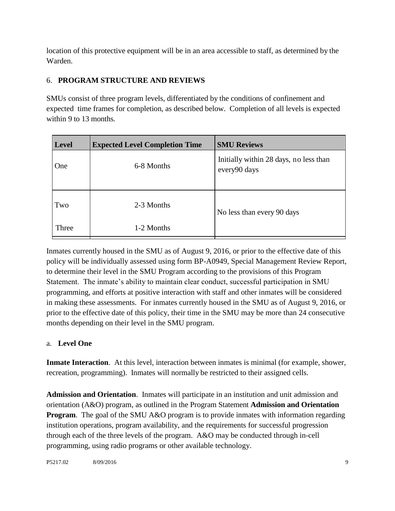location of this protective equipment will be in an area accessible to staff, as determined by the Warden.

## 6. **PROGRAM STRUCTURE AND REVIEWS**

SMUs consist of three program levels, differentiated by the conditions of confinement and expected time frames for completion, as described below. Completion of all levels is expected within 9 to 13 months.

| <b>Level</b> | <b>Expected Level Completion Time</b> | <b>SMU Reviews</b>                                     |
|--------------|---------------------------------------|--------------------------------------------------------|
| One          | 6-8 Months                            | Initially within 28 days, no less than<br>every90 days |
| Two          | 2-3 Months                            | No less than every 90 days                             |
| Three        | 1-2 Months                            |                                                        |

Inmates currently housed in the SMU as of August 9, 2016, or prior to the effective date of this policy will be individually assessed using form BP-A0949, Special Management Review Report, to determine their level in the SMU Program according to the provisions of this Program Statement. The inmate's ability to maintain clear conduct, successful participation in SMU programming, and efforts at positive interaction with staff and other inmates will be considered in making these assessments. For inmates currently housed in the SMU as of August 9, 2016, or prior to the effective date of this policy, their time in the SMU may be more than 24 consecutive months depending on their level in the SMU program.

### a. **Level One**

**Inmate Interaction**. At this level, interaction between inmates is minimal (for example, shower, recreation, programming). Inmates will normally be restricted to their assigned cells.

**Admission and Orientation**. Inmates will participate in an institution and unit admission and orientation (A&O) program, as outlined in the Program Statement **Admission and Orientation Program.** The goal of the SMU A&O program is to provide inmates with information regarding institution operations, program availability, and the requirements for successful progression through each of the three levels of the program. A&O may be conducted through in-cell programming, using radio programs or other available technology.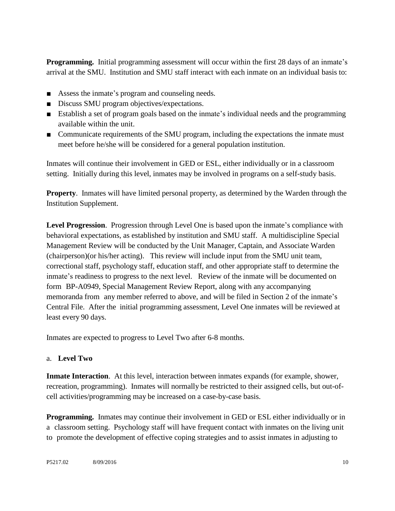**Programming.** Initial programming assessment will occur within the first 28 days of an inmate's arrival at the SMU. Institution and SMU staff interact with each inmate on an individual basis to:

- Assess the inmate's program and counseling needs.
- Discuss SMU program objectives/expectations.
- Establish a set of program goals based on the inmate's individual needs and the programming available within the unit.
- Communicate requirements of the SMU program, including the expectations the inmate must meet before he/she will be considered for a general population institution.

Inmates will continue their involvement in GED or ESL, either individually or in a classroom setting. Initially during this level, inmates may be involved in programs on a self-study basis.

**Property**. Inmates will have limited personal property, as determined by the Warden through the Institution Supplement.

**Level Progression**. Progression through Level One is based upon the inmate's compliance with behavioral expectations, as established by institution and SMU staff. A multidiscipline Special Management Review will be conducted by the Unit Manager, Captain, and Associate Warden (chairperson)(or his/her acting). This review will include input from the SMU unit team, correctional staff, psychology staff, education staff, and other appropriate staff to determine the inmate's readiness to progress to the next level. Review of the inmate will be documented on form BP-A0949, Special Management Review Report, along with any accompanying memoranda from any member referred to above, and will be filed in Section 2 of the inmate's Central File. After the initial programming assessment, Level One inmates will be reviewed at least every 90 days.

Inmates are expected to progress to Level Two after 6-8 months.

### a. **Level Two**

**Inmate Interaction**. At this level, interaction between inmates expands (for example, shower, recreation, programming). Inmates will normally be restricted to their assigned cells, but out-ofcell activities/programming may be increased on a case-by-case basis.

**Programming.** Inmates may continue their involvement in GED or ESL either individually or in a classroom setting. Psychology staff will have frequent contact with inmates on the living unit to promote the development of effective coping strategies and to assist inmates in adjusting to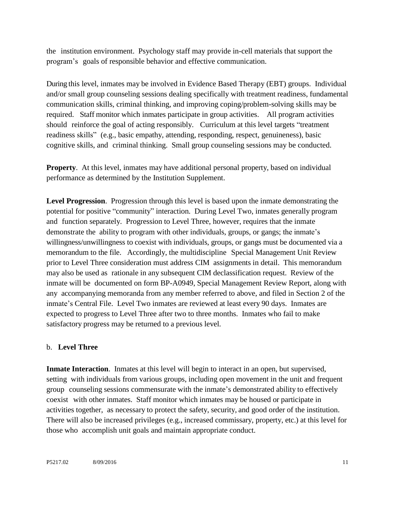the institution environment. Psychology staff may provide in-cell materials that support the program's goals of responsible behavior and effective communication.

During this level, inmates may be involved in Evidence Based Therapy (EBT) groups. Individual and/or small group counseling sessions dealing specifically with treatment readiness, fundamental communication skills, criminal thinking, and improving coping/problem-solving skills may be required. Staff monitor which inmates participate in group activities. All program activities should reinforce the goal of acting responsibly. Curriculum at this level targets "treatment readiness skills" (e.g., basic empathy, attending, responding, respect, genuineness), basic cognitive skills, and criminal thinking. Small group counseling sessions may be conducted.

**Property.** At this level, inmates may have additional personal property, based on individual performance as determined by the Institution Supplement.

**Level Progression**. Progression through this level is based upon the inmate demonstrating the potential for positive "community" interaction. During Level Two, inmates generally program and function separately. Progression to Level Three, however, requires that the inmate demonstrate the ability to program with other individuals, groups, or gangs; the inmate's willingness/unwillingness to coexist with individuals, groups, or gangs must be documented via a memorandum to the file. Accordingly, the multidiscipline Special Management Unit Review prior to Level Three consideration must address CIM assignments in detail. This memorandum may also be used as rationale in any subsequent CIM declassification request. Review of the inmate will be documented on form BP-A0949, Special Management Review Report, along with any accompanying memoranda from any member referred to above, and filed in Section 2 of the inmate's Central File. Level Two inmates are reviewed at least every 90 days. Inmates are expected to progress to Level Three after two to three months. Inmates who fail to make satisfactory progress may be returned to a previous level.

#### b. **Level Three**

**Inmate Interaction**. Inmates at this level will begin to interact in an open, but supervised, setting with individuals from various groups, including open movement in the unit and frequent group counseling sessions commensurate with the inmate's demonstrated ability to effectively coexist with other inmates. Staff monitor which inmates may be housed or participate in activities together, as necessary to protect the safety, security, and good order of the institution. There will also be increased privileges (e.g., increased commissary, property, etc.) at this level for those who accomplish unit goals and maintain appropriate conduct.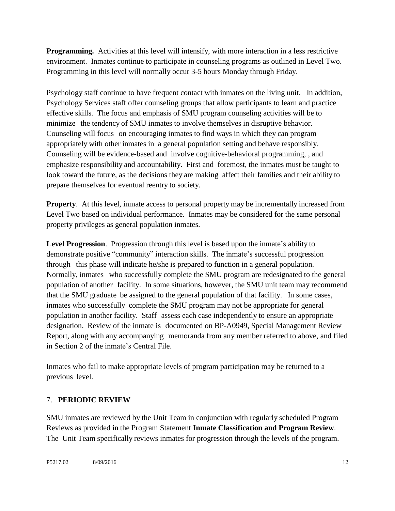**Programming.** Activities at this level will intensify, with more interaction in a less restrictive environment. Inmates continue to participate in counseling programs as outlined in Level Two. Programming in this level will normally occur 3-5 hours Monday through Friday.

Psychology staff continue to have frequent contact with inmates on the living unit. In addition, Psychology Services staff offer counseling groups that allow participants to learn and practice effective skills. The focus and emphasis of SMU program counseling activities will be to minimize the tendency of SMU inmates to involve themselves in disruptive behavior. Counseling will focus on encouraging inmates to find ways in which they can program appropriately with other inmates in a general population setting and behave responsibly. Counseling will be evidence-based and involve cognitive-behavioral programming, , and emphasize responsibility and accountability. First and foremost, the inmates must be taught to look toward the future, as the decisions they are making affect their families and their ability to prepare themselves for eventual reentry to society.

**Property.** At this level, inmate access to personal property may be incrementally increased from Level Two based on individual performance. Inmates may be considered for the same personal property privileges as general population inmates.

**Level Progression**. Progression through this level is based upon the inmate's ability to demonstrate positive "community" interaction skills. The inmate's successful progression through this phase will indicate he/she is prepared to function in a general population. Normally, inmates who successfully complete the SMU program are redesignated to the general population of another facility. In some situations, however, the SMU unit team may recommend that the SMU graduate be assigned to the general population of that facility. In some cases, inmates who successfully complete the SMU program may not be appropriate for general population in another facility. Staff assess each case independently to ensure an appropriate designation. Review of the inmate is documented on BP-A0949, Special Management Review Report, along with any accompanying memoranda from any member referred to above, and filed in Section 2 of the inmate's Central File.

Inmates who fail to make appropriate levels of program participation may be returned to a previous level.

## 7. **PERIODIC REVIEW**

SMU inmates are reviewed by the Unit Team in conjunction with regularly scheduled Program Reviews as provided in the Program Statement **Inmate Classification and Program Review**. The Unit Team specifically reviews inmates for progression through the levels of the program.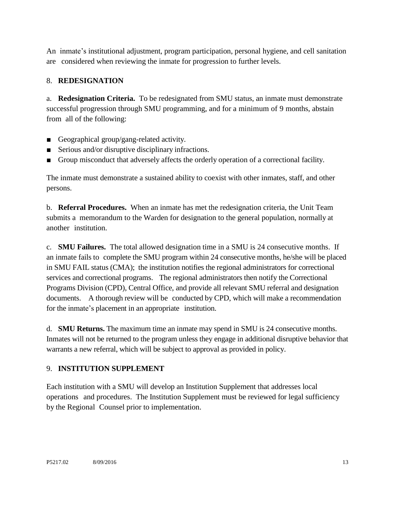An inmate's institutional adjustment, program participation, personal hygiene, and cell sanitation are considered when reviewing the inmate for progression to further levels.

## 8. **REDESIGNATION**

a. **Redesignation Criteria.** To be redesignated from SMU status, an inmate must demonstrate successful progression through SMU programming, and for a minimum of 9 months, abstain from all of the following:

- Geographical group/gang-related activity.
- Serious and/or disruptive disciplinary infractions.
- Group misconduct that adversely affects the orderly operation of a correctional facility.

The inmate must demonstrate a sustained ability to coexist with other inmates, staff, and other persons.

b. **Referral Procedures.** When an inmate has met the redesignation criteria, the Unit Team submits a memorandum to the Warden for designation to the general population, normally at another institution.

c. **SMU Failures.** The total allowed designation time in a SMU is 24 consecutive months. If an inmate fails to complete the SMU program within 24 consecutive months, he/she will be placed in SMU FAIL status (CMA); the institution notifies the regional administrators for correctional services and correctional programs. The regional administrators then notify the Correctional Programs Division (CPD), Central Office, and provide all relevant SMU referral and designation documents. A thorough review will be conducted by CPD, which will make a recommendation for the inmate's placement in an appropriate institution.

d. **SMU Returns.** The maximum time an inmate may spend in SMU is 24 consecutive months. Inmates will not be returned to the program unless they engage in additional disruptive behavior that warrants a new referral, which will be subject to approval as provided in policy.

### 9. **INSTITUTION SUPPLEMENT**

Each institution with a SMU will develop an Institution Supplement that addresses local operations and procedures. The Institution Supplement must be reviewed for legal sufficiency by the Regional Counsel prior to implementation.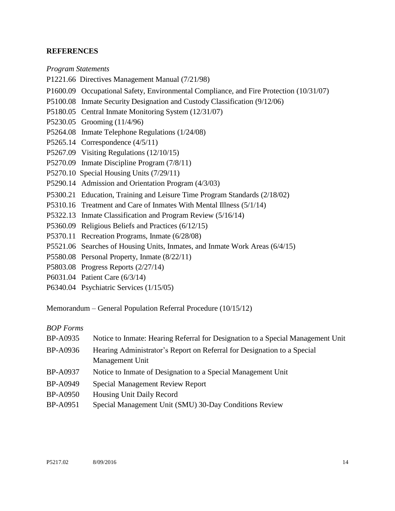#### **REFERENCES**

#### *Program Statements*

P1221.66 Directives Management Manual (7/21/98)

- P1600.09 Occupational Safety, Environmental Compliance, and Fire Protection (10/31/07)
- P5100.08 Inmate Security Designation and Custody Classification (9/12/06)
- P5180.05 Central Inmate Monitoring System (12/31/07)
- P5230.05 Grooming (11/4/96)
- P5264.08 Inmate Telephone Regulations (1/24/08)
- P5265.14 Correspondence (4/5/11)
- P5267.09 Visiting Regulations (12/10/15)
- P5270.09 Inmate Discipline Program (7/8/11)
- P5270.10 Special Housing Units (7/29/11)
- P5290.14 Admission and Orientation Program (4/3/03)
- P5300.21 Education, Training and Leisure Time Program Standards (2/18/02)
- P5310.16 Treatment and Care of Inmates With Mental Illness (5/1/14)
- P5322.13 Inmate Classification and Program Review (5/16/14)
- P5360.09 Religious Beliefs and Practices (6/12/15)
- P5370.11 Recreation Programs, Inmate (6/28/08)
- P5521.06 Searches of Housing Units, Inmates, and Inmate Work Areas (6/4/15)
- P5580.08 Personal Property, Inmate (8/22/11)
- P5803.08 Progress Reports (2/27/14)
- P6031.04 Patient Care (6/3/14)
- P6340.04 Psychiatric Services (1/15/05)

Memorandum – General Population Referral Procedure (10/15/12)

#### *BOP Forms*

| BP-A0935        | Notice to Inmate: Hearing Referral for Designation to a Special Management Unit |  |
|-----------------|---------------------------------------------------------------------------------|--|
| BP-A0936        | Hearing Administrator's Report on Referral for Designation to a Special         |  |
|                 | Management Unit                                                                 |  |
| BP-A0937        | Notice to Inmate of Designation to a Special Management Unit                    |  |
| <b>BP-A0949</b> | Special Management Review Report                                                |  |
| <b>BP-A0950</b> | Housing Unit Daily Record                                                       |  |

BP-A0951 Special Management Unit (SMU) 30-Day Conditions Review